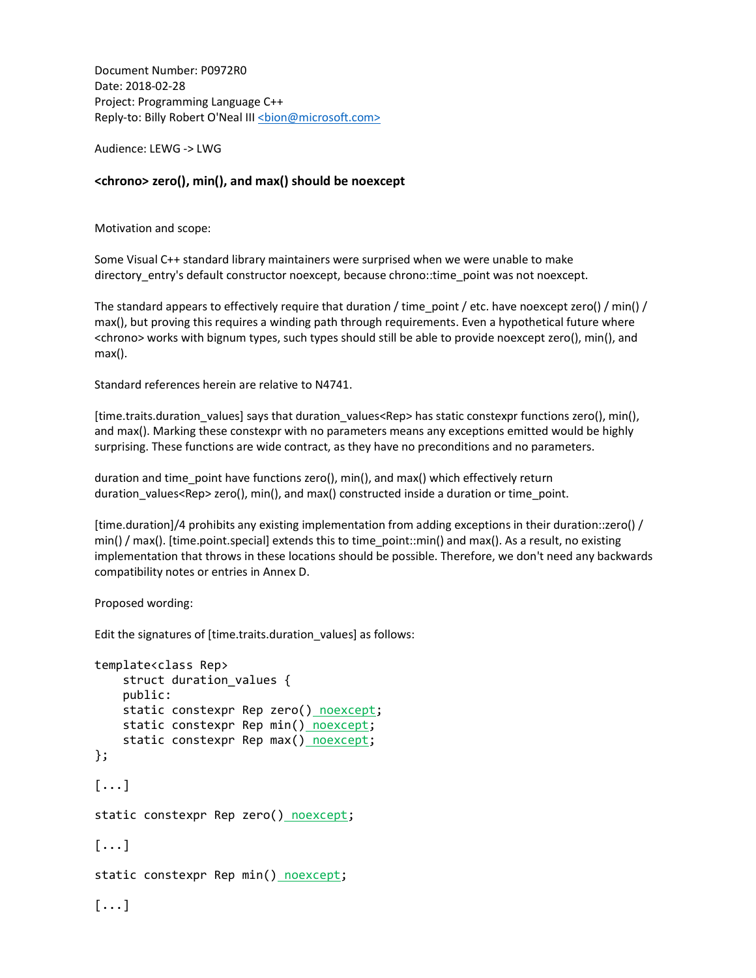Document Number: P0972R0 Date: 2018-02-28 Project: Programming Language C++ Reply-to: Billy Robert O'Neal III <br/>bion@microsoft.com>

Audience: LEWG -> LWG

## <chrono> zero(), min(), and max() should be noexcept

Motivation and scope:

Some Visual C++ standard library maintainers were surprised when we were unable to make directory\_entry's default constructor noexcept, because chrono::time\_point was not noexcept.

The standard appears to effectively require that duration / time\_point / etc. have noexcept zero() / min() / max(), but proving this requires a winding path through requirements. Even a hypothetical future where <chrono> works with bignum types, such types should still be able to provide noexcept zero(), min(), and max().

Standard references herein are relative to N4741.

[time.traits.duration\_values] says that duration\_values<Rep> has static constexpr functions zero(), min(), and max(). Marking these constexpr with no parameters means any exceptions emitted would be highly surprising. These functions are wide contract, as they have no preconditions and no parameters.

duration and time\_point have functions zero(), min(), and max() which effectively return duration\_values<Rep> zero(), min(), and max() constructed inside a duration or time\_point.

[time.duration]/4 prohibits any existing implementation from adding exceptions in their duration::zero() / min() / max(). [time.point.special] extends this to time\_point::min() and max(). As a result, no existing implementation that throws in these locations should be possible. Therefore, we don't need any backwards compatibility notes or entries in Annex D.

Proposed wording:

Edit the signatures of [time.traits.duration\_values] as follows:

```
template<class Rep> 
    struct duration values {
     public: 
     static constexpr Rep zero() noexcept; 
    static constexpr Rep min() noexcept;
    static constexpr Rep max() noexcept;
}; 
[...] 
static constexpr Rep zero() noexcept; 
[\ldots]static constexpr Rep min() noexcept;
[...]
```